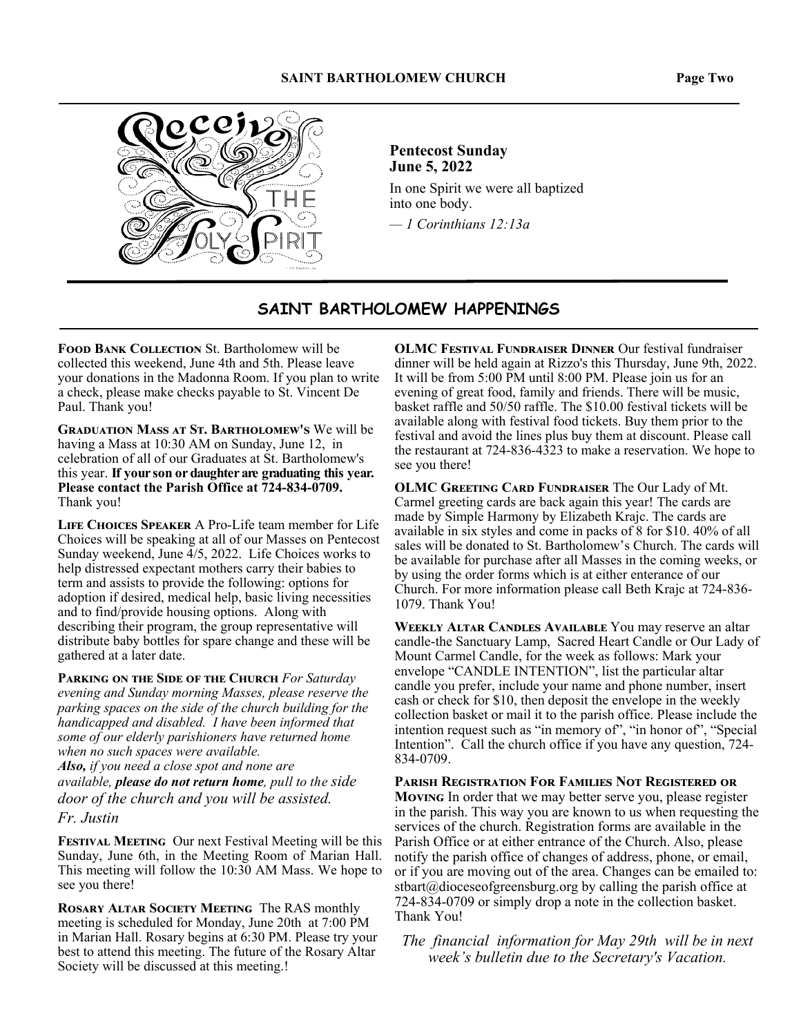

**Pentecost Sunday June 5, 2022** 

In one Spirit we were all baptized into one body.

*— 1 Corinthians 12:13a*

## **SAINT BARTHOLOMEW HAPPENINGS**

**FOOD BANK COLLECTION St. Bartholomew will be** collected this weekend, June 4th and 5th. Please leave your donations in the Madonna Room. If you plan to write a check, please make checks payable to St. Vincent De Paul. Thank you!

**GRADUATION MASS AT ST. BARTHOLOMEW'S We will be** having a Mass at 10:30 AM on Sunday, June 12, in celebration of all of our Graduates at St. Bartholomew's this year. **If your son or daughter are graduating this year. Please contact the Parish Office at 724-834-0709.**  Thank you!

LIFE CHOICES SPEAKER A Pro-Life team member for Life Choices will be speaking at all of our Masses on Pentecost Sunday weekend, June 4/5, 2022. Life Choices works to help distressed expectant mothers carry their babies to term and assists to provide the following: options for adoption if desired, medical help, basic living necessities and to find/provide housing options. Along with describing their program, the group representative will distribute baby bottles for spare change and these will be gathered at a later date.

PARKING ON THE SIDE OF THE CHURCH For Saturday *evening and Sunday morning Masses, please reserve the parking spaces on the side of the church building for the handicapped and disabled. I have been informed that some of our elderly parishioners have returned home when no such spaces were available. Also, if you need a close spot and none are available, please do not return home, pull to the side door of the church and you will be assisted.* 

#### *Fr. Justin*

FESTIVAL MEETING Our next Festival Meeting will be this Sunday, June 6th, in the Meeting Room of Marian Hall. This meeting will follow the 10:30 AM Mass. We hope to see you there!

**ROSARY ALTAR SOCIETY MEETING The RAS monthly** meeting is scheduled for Monday, June 20th at 7:00 PM in Marian Hall. Rosary begins at 6:30 PM. Please try your best to attend this meeting. The future of the Rosary Altar Society will be discussed at this meeting.!

**OLMC FESTIVAL FUNDRAISER DINNER Our festival fundraiser** dinner will be held again at Rizzo's this Thursday, June 9th, 2022. It will be from 5:00 PM until 8:00 PM. Please join us for an evening of great food, family and friends. There will be music, basket raffle and 50/50 raffle. The \$10.00 festival tickets will be available along with festival food tickets. Buy them prior to the festival and avoid the lines plus buy them at discount. Please call the restaurant at 724-836-4323 to make a reservation. We hope to see you there!

**OLMC GREETING CARD FUNDRAISER The Our Lady of Mt.** Carmel greeting cards are back again this year! The cards are made by Simple Harmony by Elizabeth Krajc. The cards are available in six styles and come in packs of 8 for \$10. 40% of all sales will be donated to St. Bartholomew's Church. The cards will be available for purchase after all Masses in the coming weeks, or by using the order forms which is at either enterance of our Church. For more information please call Beth Krajc at 724-836- 1079. Thank You!

**WEEKLY ALTAR CANDLES AVAILABLE You may reserve an altar** candle-the Sanctuary Lamp, Sacred Heart Candle or Our Lady of Mount Carmel Candle, for the week as follows: Mark your envelope "CANDLE INTENTION", list the particular altar candle you prefer, include your name and phone number, insert cash or check for \$10, then deposit the envelope in the weekly collection basket or mail it to the parish office. Please include the intention request such as "in memory of", "in honor of", "Special Intention". Call the church office if you have any question, 724- 834-0709.

**PARISH REGISTRATION FOR FAMILIES NOT REGISTERED OR Moving** In order that we may better serve you, please register in the parish. This way you are known to us when requesting the services of the church. Registration forms are available in the Parish Office or at either entrance of the Church. Also, please notify the parish office of changes of address, phone, or email, or if you are moving out of the area. Changes can be emailed to: stbart@dioceseofgreensburg.org by calling the parish office at 724-834-0709 or simply drop a note in the collection basket. Thank You!

*The financial information for May 29th will be in next week's bulletin due to the Secretary's Vacation.*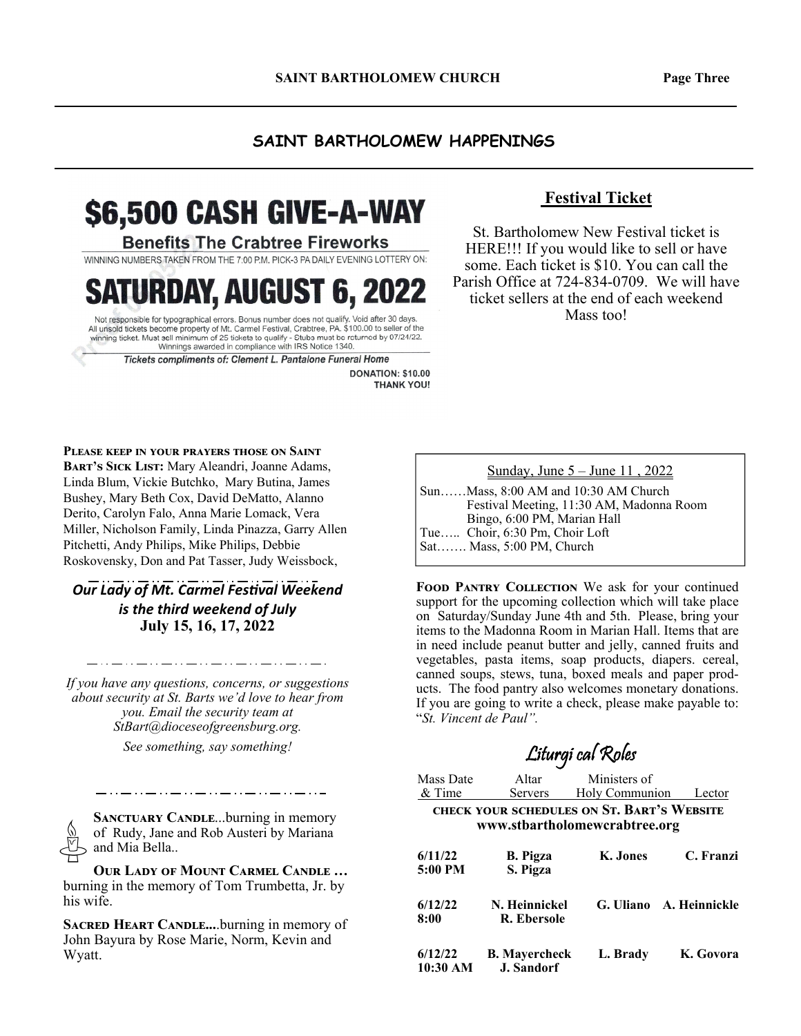#### **SAINT BARTHOLOMEW HAPPENINGS**

# \$6,500 CASH GIVE-A-WAY

#### **Benefits The Crabtree Fireworks**

WINNING NUMBERS TAKEN FROM THE 7:00 P.M. PICK-3 PA DAILY EVENING LOTTERY ON:

RDAY, AUGUST 6, 2022

Not responsible for typographical errors. Bonus number does not qualify. Void after 30 days All unsold tickets become property of Mt. Carmel Festival, Crabtree, PA. \$100.00 to seller of the winning ticket. Must sell minimum of 25 tickets to qualify - Stubs must be returned by 07/24/22.<br>Winnings awarded in compliance with IRS Notice 1340.

Tickets compliments of: Clement L. Pantalone Funeral Home

DONATION: \$10.00 **THANK YOU!** 

#### **Festival Ticket**

St. Bartholomew New Festival ticket is HERE!!! If you would like to sell or have some. Each ticket is \$10. You can call the Parish Office at 724-834-0709. We will have ticket sellers at the end of each weekend Mass too!

**PLEASE KEEP IN YOUR PRAYERS THOSE ON SAINT** BART'S SICK LIST: Mary Aleandri, Joanne Adams, Linda Blum, Vickie Butchko, Mary Butina, James Bushey, Mary Beth Cox, David DeMatto, Alanno Derito, Carolyn Falo, Anna Marie Lomack, Vera Miller, Nicholson Family, Linda Pinazza, Garry Allen Pitchetti, Andy Philips, Mike Philips, Debbie Roskovensky, Don and Pat Tasser, Judy Weissbock,

**Our Lady of Mt. Carmel Festival Weekend** *is the third weekend of July*  **July 15, 16, 17, 2022** 

*If you have any questions, concerns, or suggestions about security at St. Barts we'd love to hear from you. Email the security team at StBart@dioceseofgreensburg.org.* 

*See something, say something!*

**SANCTUARY CANDLE...burning in memory** of Rudy, Jane and Rob Austeri by Mariana and Mia Bella..

\_ . . \_\_ . . \_\_ . . .

**OUR LADY OF MOUNT CARMEL CANDLE ...** burning in the memory of Tom Trumbetta, Jr. by his wife.

**SACRED HEART CANDLE....burning in memory of** John Bayura by Rose Marie, Norm, Kevin and Wyatt.

Sunday, June 5 – June 11 , 2022

Sun……Mass, 8:00 AM and 10:30 AM Church Festival Meeting, 11:30 AM, Madonna Room Bingo, 6:00 PM, Marian Hall Tue….. Choir, 6:30 Pm, Choir Loft Sat……. Mass, 5:00 PM, Church

**FOOD PANTRY COLLECTION** We ask for your continued support for the upcoming collection which will take place on Saturday/Sunday June 4th and 5th. Please, bring your items to the Madonna Room in Marian Hall. Items that are in need include peanut butter and jelly, canned fruits and vegetables, pasta items, soap products, diapers. cereal, canned soups, stews, tuna, boxed meals and paper products. The food pantry also welcomes monetary donations. If you are going to write a check, please make payable to: "*St. Vincent de Paul".* 

Liturgi cal Roles

## Mass Date Altar Ministers of & Time Servers Holy Communion Lector CHECK YOUR SCHEDULES ON ST. BART'S WEBSITE **www.stbartholomewcrabtree.org 6/11/22 B. Pigza K. Jones C. Franzi 5:00 PM S. Pigza 6/12/22 N. Heinnickel G. Uliano A. Heinnickle 8:00 R. Ebersole**

**6/12/22 B. Mayercheck L. Brady K. Govora 10:30 AM J. Sandorf**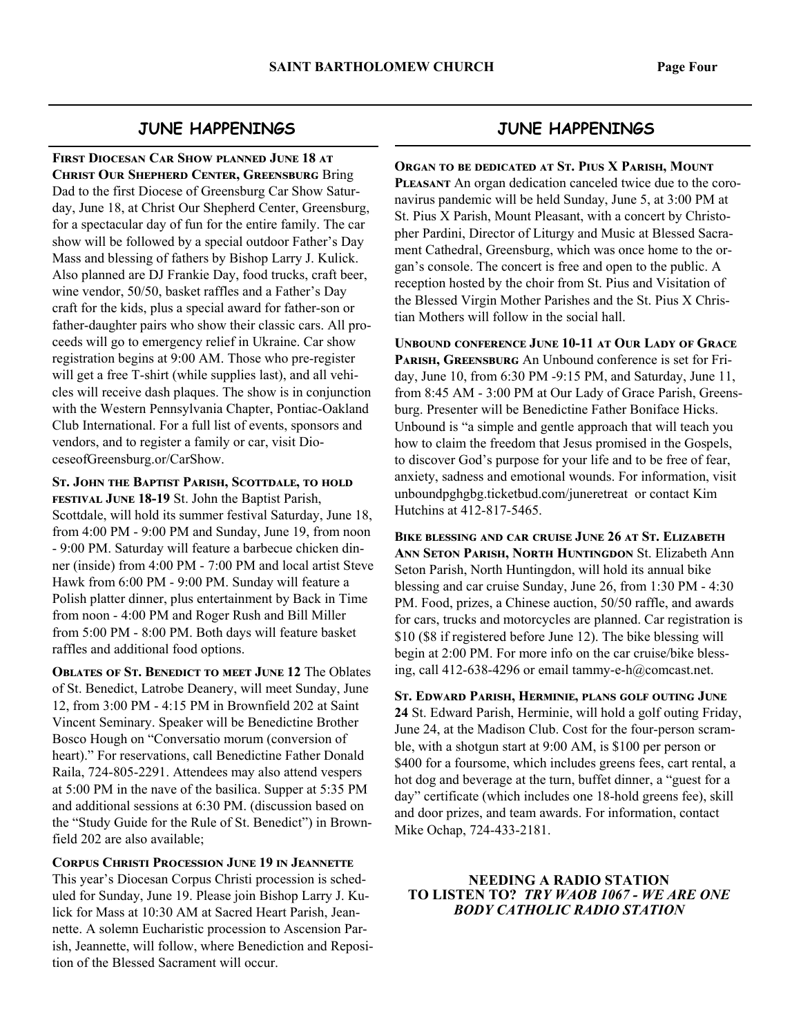#### **JUNE HAPPENINGS**

**FIRST DIOCESAN CAR SHOW PLANNED JUNE 18 AT CHRIST OUR SHEPHERD CENTER, GREENSBURG Bring** Dad to the first Diocese of Greensburg Car Show Saturday, June 18, at Christ Our Shepherd Center, Greensburg, for a spectacular day of fun for the entire family. The car show will be followed by a special outdoor Father's Day Mass and blessing of fathers by Bishop Larry J. Kulick. Also planned are DJ Frankie Day, food trucks, craft beer, wine vendor, 50/50, basket raffles and a Father's Day craft for the kids, plus a special award for father-son or father-daughter pairs who show their classic cars. All proceeds will go to emergency relief in Ukraine. Car show registration begins at 9:00 AM. Those who pre-register will get a free T-shirt (while supplies last), and all vehicles will receive dash plaques. The show is in conjunction with the Western Pennsylvania Chapter, Pontiac-Oakland Club International. For a full list of events, sponsors and vendors, and to register a family or car, visit DioceseofGreensburg.or/CarShow.

ST. JOHN THE BAPTIST PARISH, SCOTTDALE, TO HOLD **FESTIVAL JUNE 18-19 St. John the Baptist Parish,** Scottdale, will hold its summer festival Saturday, June 18, from 4:00 PM - 9:00 PM and Sunday, June 19, from noon - 9:00 PM. Saturday will feature a barbecue chicken dinner (inside) from 4:00 PM - 7:00 PM and local artist Steve Hawk from 6:00 PM - 9:00 PM. Sunday will feature a Polish platter dinner, plus entertainment by Back in Time from noon - 4:00 PM and Roger Rush and Bill Miller from 5:00 PM - 8:00 PM. Both days will feature basket raffles and additional food options.

**OBLATES OF ST. BENEDICT TO MEET JUNE 12 The Oblates** of St. Benedict, Latrobe Deanery, will meet Sunday, June 12, from 3:00 PM - 4:15 PM in Brownfield 202 at Saint Vincent Seminary. Speaker will be Benedictine Brother Bosco Hough on "Conversatio morum (conversion of heart)." For reservations, call Benedictine Father Donald Raila, 724-805-2291. Attendees may also attend vespers at 5:00 PM in the nave of the basilica. Supper at 5:35 PM and additional sessions at 6:30 PM. (discussion based on the "Study Guide for the Rule of St. Benedict") in Brownfield 202 are also available;

**CORPUS CHRISTI PROCESSION JUNE 19 IN JEANNETTE** This year's Diocesan Corpus Christi procession is scheduled for Sunday, June 19. Please join Bishop Larry J. Kulick for Mass at 10:30 AM at Sacred Heart Parish, Jeannette. A solemn Eucharistic procession to Ascension Parish, Jeannette, will follow, where Benediction and Reposition of the Blessed Sacrament will occur.

#### **JUNE HAPPENINGS**

**ORGAN TO BE DEDICATED AT ST. PIUS X PARISH, MOUNT PLEASANT** An organ dedication canceled twice due to the coronavirus pandemic will be held Sunday, June 5, at 3:00 PM at St. Pius X Parish, Mount Pleasant, with a concert by Christopher Pardini, Director of Liturgy and Music at Blessed Sacrament Cathedral, Greensburg, which was once home to the organ's console. The concert is free and open to the public. A reception hosted by the choir from St. Pius and Visitation of the Blessed Virgin Mother Parishes and the St. Pius X Christian Mothers will follow in the social hall.

**UNBOUND CONFERENCE JUNE 10-11 AT OUR LADY OF GRACE** PARISH, GREENSBURG An Unbound conference is set for Friday, June 10, from 6:30 PM -9:15 PM, and Saturday, June 11, from 8:45 AM - 3:00 PM at Our Lady of Grace Parish, Greensburg. Presenter will be Benedictine Father Boniface Hicks. Unbound is "a simple and gentle approach that will teach you how to claim the freedom that Jesus promised in the Gospels, to discover God's purpose for your life and to be free of fear, anxiety, sadness and emotional wounds. For information, visit unboundpghgbg.ticketbud.com/juneretreat or contact Kim Hutchins at 412-817-5465.

**BIKE BLESSING AND CAR CRITISE JUNE 26 AT ST. ELIZABETH ANN SETON PARISH, NORTH HUNTINGDON St. Elizabeth Ann** Seton Parish, North Huntingdon, will hold its annual bike blessing and car cruise Sunday, June 26, from 1:30 PM - 4:30 PM. Food, prizes, a Chinese auction, 50/50 raffle, and awards for cars, trucks and motorcycles are planned. Car registration is \$10 (\$8 if registered before June 12). The bike blessing will begin at 2:00 PM. For more info on the car cruise/bike blessing, call 412-638-4296 or email tammy-e-h@comcast.net.

ST. EDWARD PARISH, HERMINIE, PLANS GOLF OUTING JUNE **24** St. Edward Parish, Herminie, will hold a golf outing Friday, June 24, at the Madison Club. Cost for the four-person scramble, with a shotgun start at 9:00 AM, is \$100 per person or \$400 for a foursome, which includes greens fees, cart rental, a hot dog and beverage at the turn, buffet dinner, a "guest for a day" certificate (which includes one 18-hold greens fee), skill and door prizes, and team awards. For information, contact Mike Ochap, 724-433-2181.

#### **NEEDING A RADIO STATION TO LISTEN TO?** *TRY WAOB 1067 - WE ARE ONE BODY CATHOLIC RADIO STATION*